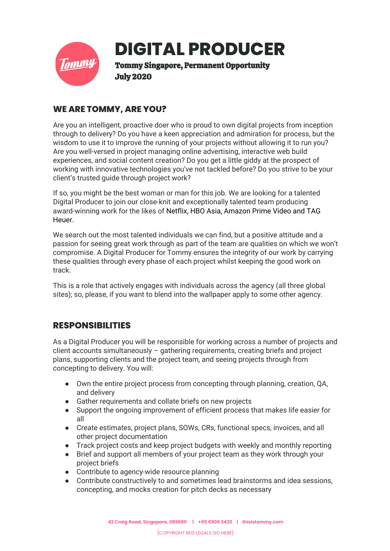

# **DIGITAL PRODUCER**

Tommy Singapore, Permanent Opportunity July 2020

## **WE ARE TOMMY, ARE YOU?**

Are you an intelligent, proactive doer who is proud to own digital projects from inception through to delivery? Do you have a keen appreciation and admiration for process, but the wisdom to use it to improve the running of your projects without allowing it to run you? Are you well-versed in project managing online advertising, interactive web build experiences, and social content creation? Do you get a little giddy at the prospect of working with innovative technologies you've not tackled before? Do you strive to be your client's trusted guide through project work?

If so, you might be the best woman or man for this job. We are looking for a talented Digital Producer to join our close-knit and exceptionally talented team producing award-winning work for the likes of Netflix, HBO Asia, Amazon Prime Video and TAG Heuer.

We search out the most talented individuals we can find, but a positive attitude and a passion for seeing great work through as part of the team are qualities on which we won't compromise. A Digital Producer for Tommy ensures the integrity of our work by carrying these qualities through every phase of each project whilst keeping the good work on track.

This is a role that actively engages with individuals across the agency (all three global sites); so, please, if you want to blend into the wallpaper apply to some other agency.

# **RESPONSIBILITIES**

As a Digital Producer you will be responsible for working across a number of projects and client accounts simultaneously – gathering requirements, creating briefs and project plans, supporting clients and the project team, and seeing projects through from concepting to delivery. You will:

- Own the entire project process from concepting through planning, creation, QA, and delivery
- Gather requirements and collate briefs on new projects
- Support the ongoing improvement of efficient process that makes life easier for all
- Create estimates, project plans, SOWs, CRs, functional specs, invoices, and all other project documentation
- Track project costs and keep project budgets with weekly and monthly reporting
- Brief and support all members of your project team as they work through your project briefs
- Contribute to agency-wide resource planning
- Contribute constructively to and sometimes lead brainstorms and idea sessions, concepting, and mocks creation for pitch decks as necessary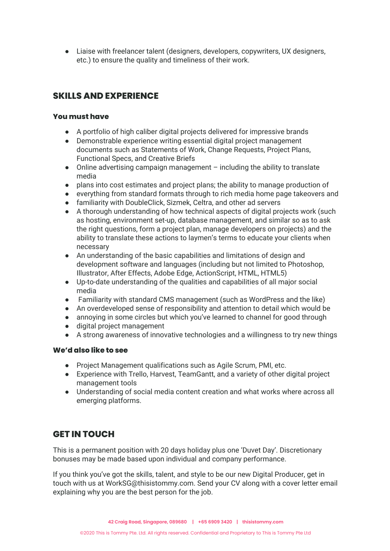● Liaise with freelancer talent (designers, developers, copywriters, UX designers, etc.) to ensure the quality and timeliness of their work.

# **SKILLS AND EXPERIENCE**

#### **You must have**

- A portfolio of high caliber digital projects delivered for impressive brands
- Demonstrable experience writing essential digital project management documents such as Statements of Work, Change Requests, Project Plans, Functional Specs, and Creative Briefs
- $\bullet$  Online advertising campaign management including the ability to translate media
- plans into cost estimates and project plans; the ability to manage production of
- everything from standard formats through to rich media home page takeovers and
- familiarity with DoubleClick, Sizmek, Celtra, and other ad servers
- A thorough understanding of how technical aspects of digital projects work (such as hosting, environment set-up, database management, and similar so as to ask the right questions, form a project plan, manage developers on projects) and the ability to translate these actions to laymen's terms to educate your clients when necessary
- An understanding of the basic capabilities and limitations of design and development software and languages (including but not limited to Photoshop, Illustrator, After Effects, Adobe Edge, ActionScript, HTML, HTML5)
- Up-to-date understanding of the qualities and capabilities of all major social media
- Familiarity with standard CMS management (such as WordPress and the like)
- An overdeveloped sense of responsibility and attention to detail which would be
- annoying in some circles but which you've learned to channel for good through
- digital project management
- A strong awareness of innovative technologies and a willingness to try new things

#### **We'd also like to see**

- Project Management qualifications such as Agile Scrum, PMI, etc.
- Experience with Trello, Harvest, TeamGantt, and a variety of other digital project management tools
- Understanding of social media content creation and what works where across all emerging platforms.

### **GET IN TOUCH**

This is a permanent position with 20 days holiday plus one 'Duvet Day'. Discretionary bonuses may be made based upon individual and company performance.

If you think you've got the skills, talent, and style to be our new Digital Producer, get in touch with us at WorkSG@thisistommy.com. Send your CV along with a cover letter email explaining why you are the best person for the job.